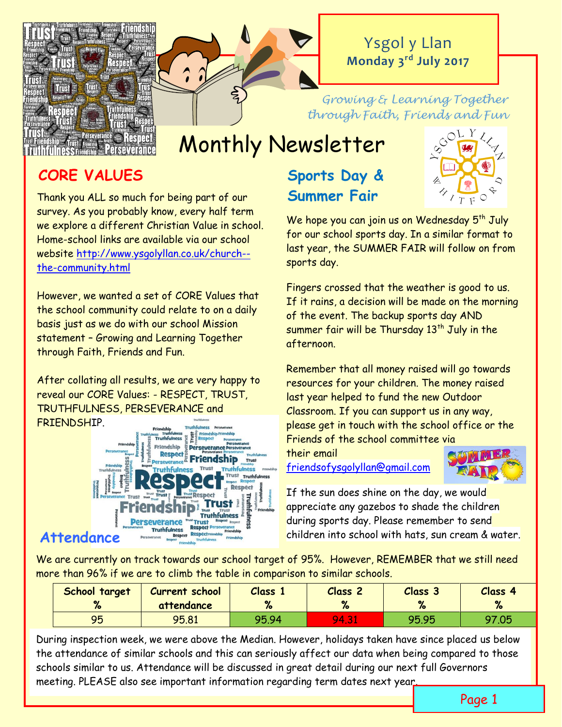

## Ysgol y Llan **Monday 3rd July 2017**

#### *Growing & Learning Together through Faith, Friends and Fun*

# Monthly Newsletter

# **CORE VALUES Sports Day &**

Thank you ALL so much for being part of our survey. As you probably know, every half term we explore a different Christian Value in school. Home-school links are available via our school website [http://www.ysgolyllan.co.uk/church-](http://www.ysgolyllan.co.uk/church--the-community.html) [the-community.html](http://www.ysgolyllan.co.uk/church--the-community.html)

However, we wanted a set of CORE Values that the school community could relate to on a daily basis just as we do with our school Mission statement – Growing and Learning Together through Faith, Friends and Fun.

After collating all results, we are very happy to reveal our CORE Values: - RESPECT, TRUST, TRUTHFULNESS, PERSEVERANCE and FRIENDSHIP.



#### **Attendance**

We are currently on track towards our school target of 95%. However, REMEMBER that we still need more than 96% if we are to climb the table in comparison to similar schools.

| School target<br>$\mathbf{a}$<br><b>TO</b> | <b>Current school</b><br>attendance | Class 1<br>% | Class <sub>2</sub><br>% | Class 3<br>% | Class 4<br>% |
|--------------------------------------------|-------------------------------------|--------------|-------------------------|--------------|--------------|
| 95                                         | 95.81                               | 95.94        | 94.3 <sub>h</sub>       | 95.95        | 97.05        |

During inspection week, we were above the Median. However, holidays taken have since placed us below the attendance of similar schools and this can seriously affect our data when being compared to those schools similar to us. Attendance will be discussed in great detail during our next full Governors meeting. PLEASE also see important information regarding term dates next year.

# **Summer Fair**



We hope you can join us on Wednesday 5<sup>th</sup> July for our school sports day. In a similar format to last year, the SUMMER FAIR will follow on from sports day.

Fingers crossed that the weather is good to us. If it rains, a decision will be made on the morning of the event. The backup sports day AND summer fair will be Thursday 13<sup>th</sup> July in the afternoon.

Remember that all money raised will go towards resources for your children. The money raised last year helped to fund the new Outdoor Classroom. If you can support us in any way, please get in touch with the school office or the Friends of the school committee via

their email [friendsofysgolyllan@gmail.com](mailto:friendsofysgolyllan@gmail.com)



If the sun does shine on the day, we would appreciate any gazebos to shade the children during sports day. Please remember to send children into school with hats, sun cream & water.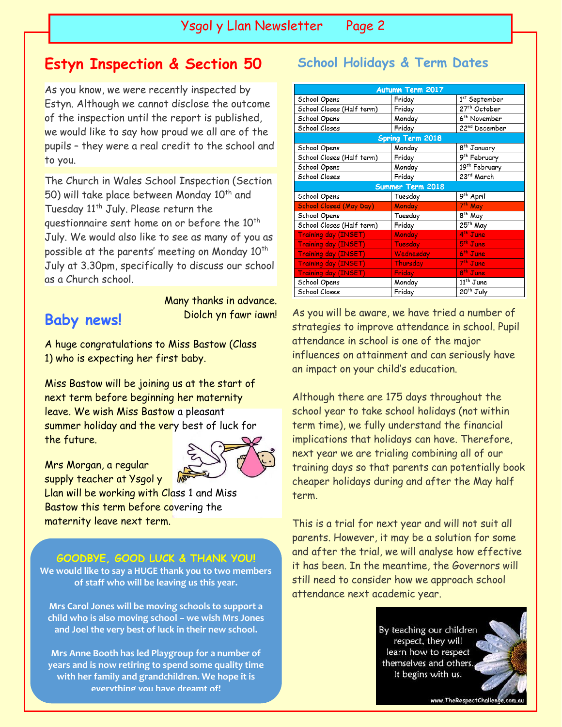#### **Estyn Inspection & Section 50**

As you know, we were recently inspected by Estyn. Although we cannot disclose the outcome of the inspection until the report is published, we would like to say how proud we all are of the pupils – they were a real credit to the school and to you.

The Church in Wales School Inspection (Section 50) will take place between Monday  $10^{th}$  and Tuesday 11<sup>th</sup> July. Please return the questionnaire sent home on or before the  $10<sup>th</sup>$ July. We would also like to see as many of you as possible at the parents' meeting on Monday 10<sup>th</sup> July at 3.30pm, specifically to discuss our school as a Church school.

# **Baby news!**

Many thanks in advance. Diolch yn fawr iawn!

A huge congratulations to Miss Bastow (Class 1) who is expecting her first baby.

Miss Bastow will be joining us at the start of next term before beginning her maternity leave. We wish Miss Bastow a pleasant summer holiday and the very best of luck for the future.

Mrs Morgan, a regular supply teacher at Ysgol y



Llan will be working with Class 1 and Miss Bastow this term before covering the maternity leave next term.

#### **GOODBYE, GOOD LUCK & THANK YOU!**

**We would like to say a HUGE thank you to two members of staff who will be leaving us this year.**

**Mrs Carol Jones will be moving schools to support a child who is also moving school – we wish Mrs Jones and Joel the very best of luck in their new school.**

**Mrs Anne Booth has led Playgroup for a number of years and is now retiring to spend some quality time with her family and grandchildren. We hope it is everything you have dreamt of!**

#### **[School](http://www.ysgolyllan.co.uk/extra-curricular-clubs.html) Holidays & Term Dates**

| Autumn Term 2017               |                 |                           |  |  |  |
|--------------------------------|-----------------|---------------------------|--|--|--|
| School Opens                   | Friday          | 1 <sup>st</sup> September |  |  |  |
| School Closes (Half term)      | Friday          | 27th October              |  |  |  |
| School Opens                   | Monday          | 6 <sup>th</sup> November  |  |  |  |
| School Closes                  | Friday          | 22 <sup>nd</sup> December |  |  |  |
| <b>Spring Term 2018</b>        |                 |                           |  |  |  |
| School Opens                   | Monday          | 8 <sup>th</sup> January   |  |  |  |
| School Closes (Half term)      | Friday          | 9 <sup>th</sup> February  |  |  |  |
| School Opens                   | Monday          | 19 <sup>th</sup> February |  |  |  |
| School Closes                  | Friday          | 23rd March                |  |  |  |
| Summer Term 2018               |                 |                           |  |  |  |
| School Opens                   | Tuesday         | 9 <sup>th</sup> April     |  |  |  |
| <b>School Closed (May Day)</b> | Monday          | 7 <sup>th</sup> May       |  |  |  |
| School Opens                   | Tuesday         | 8 <sup>th</sup> May       |  |  |  |
| School Closes (Half term)      | Friday          | 25 <sup>th</sup> May      |  |  |  |
| <b>Training day (INSET)</b>    | <b>Monday</b>   | 4 <sup>th</sup> June      |  |  |  |
| <b>Training day (INSET)</b>    | <b>Tuesday</b>  | 5 <sup>th</sup> June      |  |  |  |
| <b>Training day (INSET)</b>    | Wednesday       | 6 <sup>th</sup> June      |  |  |  |
| <b>Training day (INSET)</b>    | <b>Thursday</b> | 7 <sup>th</sup> June      |  |  |  |
| Training day (INSET)           | Friday          | 8 <sup>th</sup> June      |  |  |  |
| School Opens                   | Monday          | $11^{th}$ June            |  |  |  |
| School Closes                  | Friday          | 20 <sup>th</sup> July     |  |  |  |

As you will be aware, we have tried a number of strategies to improve attendance in school. Pupil attendance in school is one of the major influences on attainment and can seriously have an impact on your child's education.

Although there are 175 days throughout the school year to take school holidays (not within term time), we fully understand the financial implications that holidays can have. Therefore, next year we are trialing combining all of our training days so that parents can potentially book cheaper holidays during and after the May half term.

This is a trial for next year and will not suit all parents. However, it may be a solution for some and after the trial, we will analyse how effective it has been. In the meantime, the Governors will still need to consider how we approach school attendance next academic year.

> By teaching our children respect, they will learn how to respect themselves and others It begins with us.